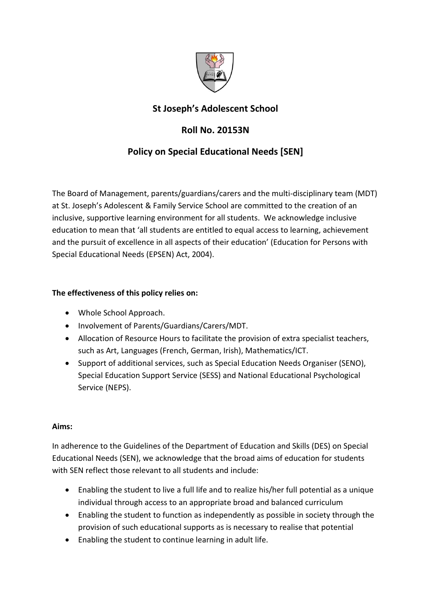

# **St Joseph's Adolescent School**

# **Roll No. 20153N**

## **Policy on Special Educational Needs [SEN]**

The Board of Management, parents/guardians/carers and the multi-disciplinary team (MDT) at St. Joseph's Adolescent & Family Service School are committed to the creation of an inclusive, supportive learning environment for all students. We acknowledge inclusive education to mean that 'all students are entitled to equal access to learning, achievement and the pursuit of excellence in all aspects of their education' (Education for Persons with Special Educational Needs (EPSEN) Act, 2004).

## **The effectiveness of this policy relies on:**

- Whole School Approach.
- Involvement of Parents/Guardians/Carers/MDT.
- Allocation of Resource Hours to facilitate the provision of extra specialist teachers, such as Art, Languages (French, German, Irish), Mathematics/ICT.
- Support of additional services, such as Special Education Needs Organiser (SENO), Special Education Support Service (SESS) and National Educational Psychological Service (NEPS).

### **Aims:**

In adherence to the Guidelines of the Department of Education and Skills (DES) on Special Educational Needs (SEN), we acknowledge that the broad aims of education for students with SEN reflect those relevant to all students and include:

- Enabling the student to live a full life and to realize his/her full potential as a unique individual through access to an appropriate broad and balanced curriculum
- Enabling the student to function as independently as possible in society through the provision of such educational supports as is necessary to realise that potential
- Enabling the student to continue learning in adult life.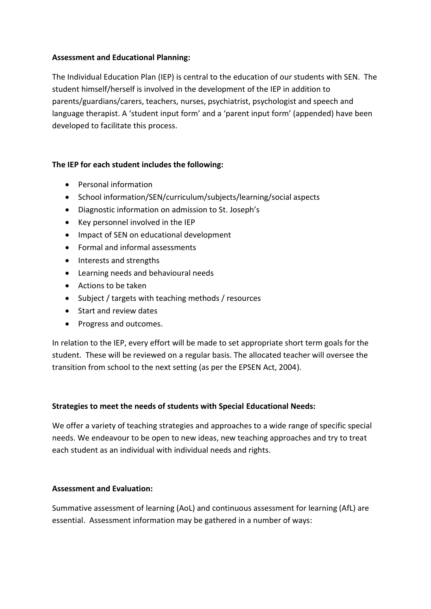### **Assessment and Educational Planning:**

The Individual Education Plan (IEP) is central to the education of our students with SEN. The student himself/herself is involved in the development of the IEP in addition to parents/guardians/carers, teachers, nurses, psychiatrist, psychologist and speech and language therapist. A 'student input form' and a 'parent input form' (appended) have been developed to facilitate this process.

#### **The IEP for each student includes the following:**

- Personal information
- School information/SEN/curriculum/subjects/learning/social aspects
- Diagnostic information on admission to St. Joseph's
- Key personnel involved in the IEP
- Impact of SEN on educational development
- Formal and informal assessments
- Interests and strengths
- Learning needs and behavioural needs
- Actions to be taken
- Subject / targets with teaching methods / resources
- Start and review dates
- Progress and outcomes.

In relation to the IEP, every effort will be made to set appropriate short term goals for the student. These will be reviewed on a regular basis. The allocated teacher will oversee the transition from school to the next setting (as per the EPSEN Act, 2004).

### **Strategies to meet the needs of students with Special Educational Needs:**

We offer a variety of teaching strategies and approaches to a wide range of specific special needs. We endeavour to be open to new ideas, new teaching approaches and try to treat each student as an individual with individual needs and rights.

#### **Assessment and Evaluation:**

Summative assessment of learning (AoL) and continuous assessment for learning (AfL) are essential. Assessment information may be gathered in a number of ways: